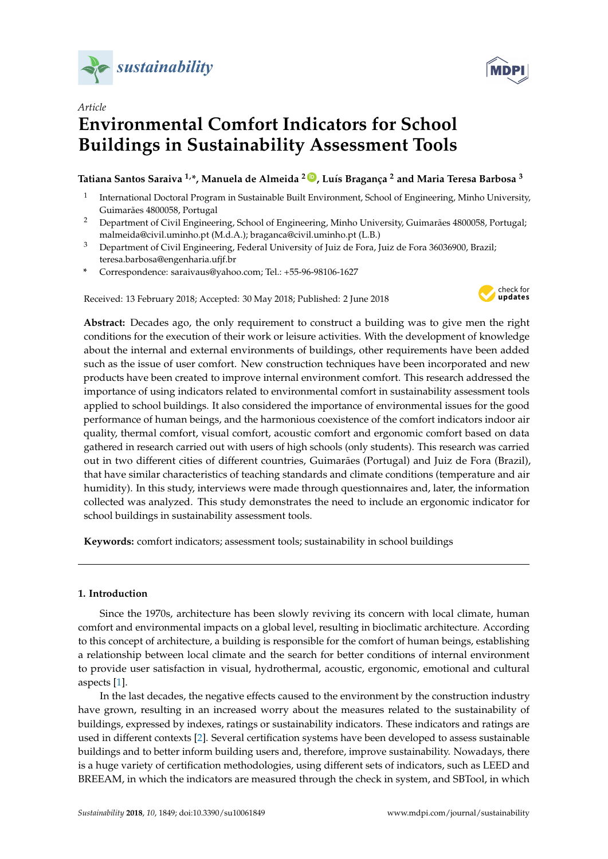



# **Environmental Comfort Indicators for School Buildings in Sustainability Assessment Tools**

## **Tatiana Santos Saraiva 1,\*, Manuela de Almeida <sup>2</sup> [ID](https://orcid.org/0000-0003-2713-6322) , Luís Bragança <sup>2</sup> and Maria Teresa Barbosa <sup>3</sup>**

- 1 International Doctoral Program in Sustainable Built Environment, School of Engineering, Minho University, Guimarães 4800058, Portugal
- <sup>2</sup> Department of Civil Engineering, School of Engineering, Minho University, Guimarães 4800058, Portugal; malmeida@civil.uminho.pt (M.d.A.); braganca@civil.uminho.pt (L.B.)
- <sup>3</sup> Department of Civil Engineering, Federal University of Juiz de Fora, Juiz de Fora 36036900, Brazil; teresa.barbosa@engenharia.ufjf.br
- **\*** Correspondence: saraivaus@yahoo.com; Tel.: +55-96-98106-1627

Received: 13 February 2018; Accepted: 30 May 2018; Published: 2 June 2018



**Abstract:** Decades ago, the only requirement to construct a building was to give men the right conditions for the execution of their work or leisure activities. With the development of knowledge about the internal and external environments of buildings, other requirements have been added such as the issue of user comfort. New construction techniques have been incorporated and new products have been created to improve internal environment comfort. This research addressed the importance of using indicators related to environmental comfort in sustainability assessment tools applied to school buildings. It also considered the importance of environmental issues for the good performance of human beings, and the harmonious coexistence of the comfort indicators indoor air quality, thermal comfort, visual comfort, acoustic comfort and ergonomic comfort based on data gathered in research carried out with users of high schools (only students). This research was carried out in two different cities of different countries, Guimarães (Portugal) and Juiz de Fora (Brazil), that have similar characteristics of teaching standards and climate conditions (temperature and air humidity). In this study, interviews were made through questionnaires and, later, the information collected was analyzed. This study demonstrates the need to include an ergonomic indicator for school buildings in sustainability assessment tools.

**Keywords:** comfort indicators; assessment tools; sustainability in school buildings

### **1. Introduction**

Since the 1970s, architecture has been slowly reviving its concern with local climate, human comfort and environmental impacts on a global level, resulting in bioclimatic architecture. According to this concept of architecture, a building is responsible for the comfort of human beings, establishing a relationship between local climate and the search for better conditions of internal environment to provide user satisfaction in visual, hydrothermal, acoustic, ergonomic, emotional and cultural aspects [\[1\]](#page-10-0).

In the last decades, the negative effects caused to the environment by the construction industry have grown, resulting in an increased worry about the measures related to the sustainability of buildings, expressed by indexes, ratings or sustainability indicators. These indicators and ratings are used in different contexts [\[2\]](#page-10-1). Several certification systems have been developed to assess sustainable buildings and to better inform building users and, therefore, improve sustainability. Nowadays, there is a huge variety of certification methodologies, using different sets of indicators, such as LEED and BREEAM, in which the indicators are measured through the check in system, and SBTool, in which

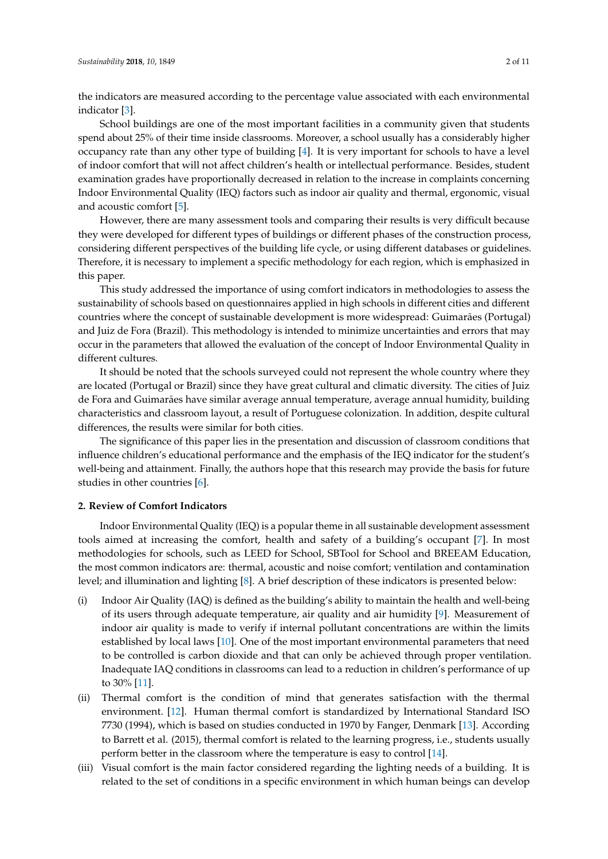the indicators are measured according to the percentage value associated with each environmental indicator [\[3\]](#page-10-2).

School buildings are one of the most important facilities in a community given that students spend about 25% of their time inside classrooms. Moreover, a school usually has a considerably higher occupancy rate than any other type of building [\[4\]](#page-10-3). It is very important for schools to have a level of indoor comfort that will not affect children's health or intellectual performance. Besides, student examination grades have proportionally decreased in relation to the increase in complaints concerning Indoor Environmental Quality (IEQ) factors such as indoor air quality and thermal, ergonomic, visual and acoustic comfort [\[5\]](#page-10-4).

However, there are many assessment tools and comparing their results is very difficult because they were developed for different types of buildings or different phases of the construction process, considering different perspectives of the building life cycle, or using different databases or guidelines. Therefore, it is necessary to implement a specific methodology for each region, which is emphasized in this paper.

This study addressed the importance of using comfort indicators in methodologies to assess the sustainability of schools based on questionnaires applied in high schools in different cities and different countries where the concept of sustainable development is more widespread: Guimarães (Portugal) and Juiz de Fora (Brazil). This methodology is intended to minimize uncertainties and errors that may occur in the parameters that allowed the evaluation of the concept of Indoor Environmental Quality in different cultures.

It should be noted that the schools surveyed could not represent the whole country where they are located (Portugal or Brazil) since they have great cultural and climatic diversity. The cities of Juiz de Fora and Guimarães have similar average annual temperature, average annual humidity, building characteristics and classroom layout, a result of Portuguese colonization. In addition, despite cultural differences, the results were similar for both cities.

The significance of this paper lies in the presentation and discussion of classroom conditions that influence children's educational performance and the emphasis of the IEQ indicator for the student's well-being and attainment. Finally, the authors hope that this research may provide the basis for future studies in other countries [\[6\]](#page-10-5).

#### **2. Review of Comfort Indicators**

Indoor Environmental Quality (IEQ) is a popular theme in all sustainable development assessment tools aimed at increasing the comfort, health and safety of a building's occupant [\[7\]](#page-10-6). In most methodologies for schools, such as LEED for School, SBTool for School and BREEAM Education, the most common indicators are: thermal, acoustic and noise comfort; ventilation and contamination level; and illumination and lighting [\[8\]](#page-10-7). A brief description of these indicators is presented below:

- (i) Indoor Air Quality (IAQ) is defined as the building's ability to maintain the health and well-being of its users through adequate temperature, air quality and air humidity [\[9\]](#page-10-8). Measurement of indoor air quality is made to verify if internal pollutant concentrations are within the limits established by local laws [\[10\]](#page-10-9). One of the most important environmental parameters that need to be controlled is carbon dioxide and that can only be achieved through proper ventilation. Inadequate IAQ conditions in classrooms can lead to a reduction in children's performance of up to 30% [\[11\]](#page-10-10).
- (ii) Thermal comfort is the condition of mind that generates satisfaction with the thermal environment. [\[12\]](#page-10-11). Human thermal comfort is standardized by International Standard ISO 7730 (1994), which is based on studies conducted in 1970 by Fanger, Denmark [\[13\]](#page-10-12). According to Barrett et al. (2015), thermal comfort is related to the learning progress, i.e., students usually perform better in the classroom where the temperature is easy to control [\[14\]](#page-10-13).
- (iii) Visual comfort is the main factor considered regarding the lighting needs of a building. It is related to the set of conditions in a specific environment in which human beings can develop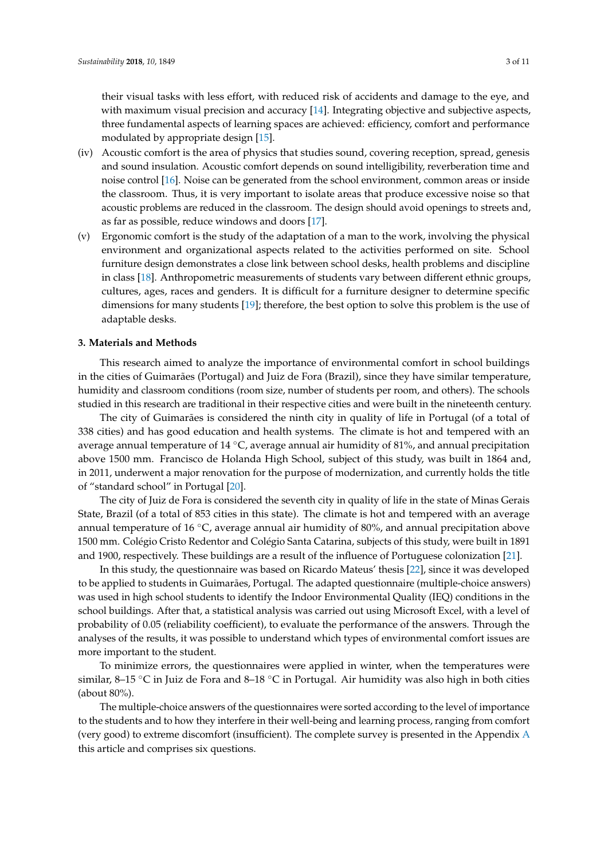their visual tasks with less effort, with reduced risk of accidents and damage to the eye, and with maximum visual precision and accuracy [\[14\]](#page-10-13). Integrating objective and subjective aspects, three fundamental aspects of learning spaces are achieved: efficiency, comfort and performance modulated by appropriate design [\[15\]](#page-10-14).

- (iv) Acoustic comfort is the area of physics that studies sound, covering reception, spread, genesis and sound insulation. Acoustic comfort depends on sound intelligibility, reverberation time and noise control [\[16\]](#page-10-15). Noise can be generated from the school environment, common areas or inside the classroom. Thus, it is very important to isolate areas that produce excessive noise so that acoustic problems are reduced in the classroom. The design should avoid openings to streets and, as far as possible, reduce windows and doors [\[17\]](#page-10-16).
- (v) Ergonomic comfort is the study of the adaptation of a man to the work, involving the physical environment and organizational aspects related to the activities performed on site. School furniture design demonstrates a close link between school desks, health problems and discipline in class [\[18\]](#page-10-17). Anthropometric measurements of students vary between different ethnic groups, cultures, ages, races and genders. It is difficult for a furniture designer to determine specific dimensions for many students [\[19\]](#page-10-18); therefore, the best option to solve this problem is the use of adaptable desks.

#### **3. Materials and Methods**

This research aimed to analyze the importance of environmental comfort in school buildings in the cities of Guimarães (Portugal) and Juiz de Fora (Brazil), since they have similar temperature, humidity and classroom conditions (room size, number of students per room, and others). The schools studied in this research are traditional in their respective cities and were built in the nineteenth century.

The city of Guimarães is considered the ninth city in quality of life in Portugal (of a total of 338 cities) and has good education and health systems. The climate is hot and tempered with an average annual temperature of 14 ◦C, average annual air humidity of 81%, and annual precipitation above 1500 mm. Francisco de Holanda High School, subject of this study, was built in 1864 and, in 2011, underwent a major renovation for the purpose of modernization, and currently holds the title of "standard school" in Portugal [\[20\]](#page-10-19).

The city of Juiz de Fora is considered the seventh city in quality of life in the state of Minas Gerais State, Brazil (of a total of 853 cities in this state). The climate is hot and tempered with an average annual temperature of 16  $\degree$ C, average annual air humidity of 80%, and annual precipitation above 1500 mm. Colégio Cristo Redentor and Colégio Santa Catarina, subjects of this study, were built in 1891 and 1900, respectively. These buildings are a result of the influence of Portuguese colonization [\[21\]](#page-10-20).

In this study, the questionnaire was based on Ricardo Mateus' thesis [\[22\]](#page-10-21), since it was developed to be applied to students in Guimarães, Portugal. The adapted questionnaire (multiple-choice answers) was used in high school students to identify the Indoor Environmental Quality (IEQ) conditions in the school buildings. After that, a statistical analysis was carried out using Microsoft Excel, with a level of probability of 0.05 (reliability coefficient), to evaluate the performance of the answers. Through the analyses of the results, it was possible to understand which types of environmental comfort issues are more important to the student.

To minimize errors, the questionnaires were applied in winter, when the temperatures were similar, 8–15 ◦C in Juiz de Fora and 8–18 ◦C in Portugal. Air humidity was also high in both cities (about 80%).

The multiple-choice answers of the questionnaires were sorted according to the level of importance to the students and to how they interfere in their well-being and learning process, ranging from comfort (very good) to extreme discomfort (insufficient). The complete survey is presented in the Appendix [A](#page-8-0) this article and comprises six questions.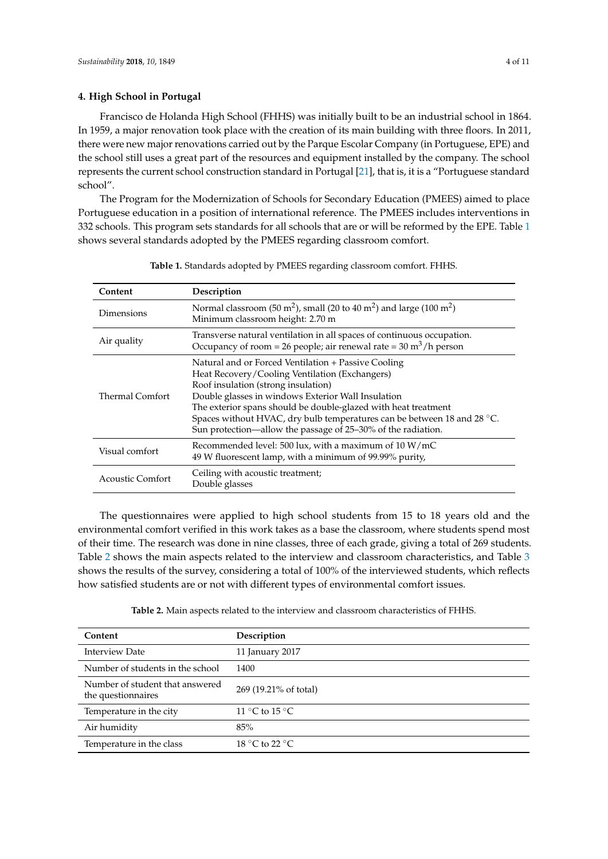#### **4. High School in Portugal**

Francisco de Holanda High School (FHHS) was initially built to be an industrial school in 1864. In 1959, a major renovation took place with the creation of its main building with three floors. In 2011, there were new major renovations carried out by the Parque Escolar Company (in Portuguese, EPE) and the school still uses a great part of the resources and equipment installed by the company. The school represents the current school construction standard in Portugal [\[21\]](#page-10-20), that is, it is a "Portuguese standard school".

The Program for the Modernization of Schools for Secondary Education (PMEES) aimed to place Portuguese education in a position of international reference. The PMEES includes interventions in 332 schools. This program sets standards for all schools that are or will be reformed by the EPE. Table [1](#page-3-0) shows several standards adopted by the PMEES regarding classroom comfort.

<span id="page-3-0"></span>

| Content                                                                                                                                                                     | Description                                                                                                                                                                                                                                                                                                                                                                                                     |  |
|-----------------------------------------------------------------------------------------------------------------------------------------------------------------------------|-----------------------------------------------------------------------------------------------------------------------------------------------------------------------------------------------------------------------------------------------------------------------------------------------------------------------------------------------------------------------------------------------------------------|--|
| Normal classroom (50 m <sup>2</sup> ), small (20 to 40 m <sup>2</sup> ) and large (100 m <sup>2</sup> )<br>Dimensions<br>Minimum classroom height: 2.70 m                   |                                                                                                                                                                                                                                                                                                                                                                                                                 |  |
| Transverse natural ventilation in all spaces of continuous occupation.<br>Air quality<br>Occupancy of room = 26 people; air renewal rate = $30 \text{ m}^3/\text{h}$ person |                                                                                                                                                                                                                                                                                                                                                                                                                 |  |
| <b>Thermal Comfort</b>                                                                                                                                                      | Natural and or Forced Ventilation + Passive Cooling<br>Heat Recovery/Cooling Ventilation (Exchangers)<br>Roof insulation (strong insulation)<br>Double glasses in windows Exterior Wall Insulation<br>The exterior spans should be double-glazed with heat treatment<br>Spaces without HVAC, dry bulb temperatures can be between 18 and 28 °C.<br>Sun protection—allow the passage of 25-30% of the radiation. |  |
| Visual comfort                                                                                                                                                              | Recommended level: 500 lux, with a maximum of $10 W/mC$<br>49 W fluorescent lamp, with a minimum of 99.99% purity,                                                                                                                                                                                                                                                                                              |  |
| <b>Acoustic Comfort</b>                                                                                                                                                     | Ceiling with acoustic treatment;<br>Double glasses                                                                                                                                                                                                                                                                                                                                                              |  |

**Table 1.** Standards adopted by PMEES regarding classroom comfort. FHHS.

The questionnaires were applied to high school students from 15 to 18 years old and the environmental comfort verified in this work takes as a base the classroom, where students spend most of their time. The research was done in nine classes, three of each grade, giving a total of 269 students. Table [2](#page-3-1) shows the main aspects related to the interview and classroom characteristics, and Table [3](#page-4-0) shows the results of the survey, considering a total of 100% of the interviewed students, which reflects how satisfied students are or not with different types of environmental comfort issues.

**Table 2.** Main aspects related to the interview and classroom characteristics of FHHS.

<span id="page-3-1"></span>

| Content                                               | Description           |
|-------------------------------------------------------|-----------------------|
| Interview Date                                        | 11 January 2017       |
| Number of students in the school                      | 1400                  |
| Number of student that answered<br>the questionnaires | 269 (19.21% of total) |
| Temperature in the city                               | 11 °C to 15 °C        |
| Air humidity                                          | 85%                   |
| Temperature in the class                              | 18 °C to 22 °C.       |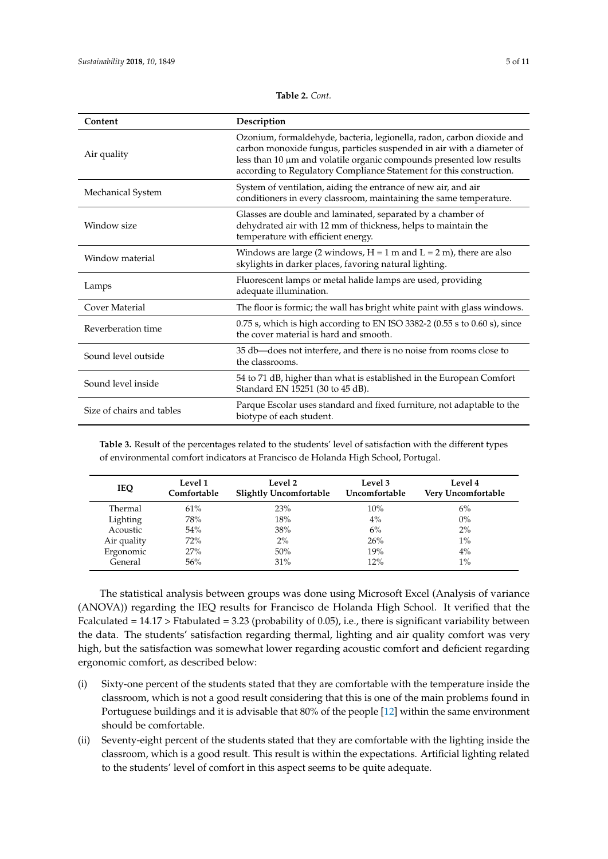| Content                   | Description                                                                                                                                                                                                                                                                                    |  |  |
|---------------------------|------------------------------------------------------------------------------------------------------------------------------------------------------------------------------------------------------------------------------------------------------------------------------------------------|--|--|
| Air quality               | Ozonium, formaldehyde, bacteria, legionella, radon, carbon dioxide and<br>carbon monoxide fungus, particles suspended in air with a diameter of<br>less than 10 µm and volatile organic compounds presented low results<br>according to Regulatory Compliance Statement for this construction. |  |  |
| Mechanical System         | System of ventilation, aiding the entrance of new air, and air<br>conditioners in every classroom, maintaining the same temperature.                                                                                                                                                           |  |  |
| Window size               | Glasses are double and laminated, separated by a chamber of<br>dehydrated air with 12 mm of thickness, helps to maintain the<br>temperature with efficient energy.                                                                                                                             |  |  |
| Window material           | Windows are large (2 windows, $H = 1$ m and $L = 2$ m), there are also<br>skylights in darker places, favoring natural lighting.                                                                                                                                                               |  |  |
| Lamps                     | Fluorescent lamps or metal halide lamps are used, providing<br>adequate illumination.                                                                                                                                                                                                          |  |  |
| Cover Material            | The floor is formic; the wall has bright white paint with glass windows.                                                                                                                                                                                                                       |  |  |
| Reverberation time        | $0.75$ s, which is high according to EN ISO 3382-2 (0.55 s to 0.60 s), since<br>the cover material is hard and smooth.                                                                                                                                                                         |  |  |
| Sound level outside       | 35 db-does not interfere, and there is no noise from rooms close to<br>the classrooms.                                                                                                                                                                                                         |  |  |
| Sound level inside        | 54 to 71 dB, higher than what is established in the European Comfort<br>Standard EN 15251 (30 to 45 dB).                                                                                                                                                                                       |  |  |
| Size of chairs and tables | Parque Escolar uses standard and fixed furniture, not adaptable to the<br>biotype of each student.                                                                                                                                                                                             |  |  |

**Table 2.** *Cont.*

<span id="page-4-0"></span>**Table 3.** Result of the percentages related to the students' level of satisfaction with the different types of environmental comfort indicators at Francisco de Holanda High School, Portugal.

| <b>IEQ</b>  | Level 1<br>Comfortable | Level 2<br><b>Slightly Uncomfortable</b> | Level 3<br>Uncomfortable | Level 4<br>Very Uncomfortable |  |
|-------------|------------------------|------------------------------------------|--------------------------|-------------------------------|--|
| Thermal     | 61%                    | 23%                                      | 10%                      | 6%                            |  |
| Lighting    | 78%                    | 18%                                      | $4\%$                    | $0\%$                         |  |
| Acoustic    | 54%                    | 38%                                      | 6%                       | $2\%$                         |  |
| Air quality | 72%                    | 2%                                       | 26%                      | $1\%$                         |  |
| Ergonomic   | 27%                    | 50%                                      | 19%                      | 4%                            |  |
| General     | 56%                    | 31%                                      | 12%                      | $1\%$                         |  |

The statistical analysis between groups was done using Microsoft Excel (Analysis of variance (ANOVA)) regarding the IEQ results for Francisco de Holanda High School. It verified that the Fcalculated =  $14.17$  > Ftabulated = 3.23 (probability of 0.05), i.e., there is significant variability between the data. The students' satisfaction regarding thermal, lighting and air quality comfort was very high, but the satisfaction was somewhat lower regarding acoustic comfort and deficient regarding ergonomic comfort, as described below:

- (i) Sixty-one percent of the students stated that they are comfortable with the temperature inside the classroom, which is not a good result considering that this is one of the main problems found in Portuguese buildings and it is advisable that 80% of the people [\[12\]](#page-10-11) within the same environment should be comfortable.
- (ii) Seventy-eight percent of the students stated that they are comfortable with the lighting inside the classroom, which is a good result. This result is within the expectations. Artificial lighting related to the students' level of comfort in this aspect seems to be quite adequate.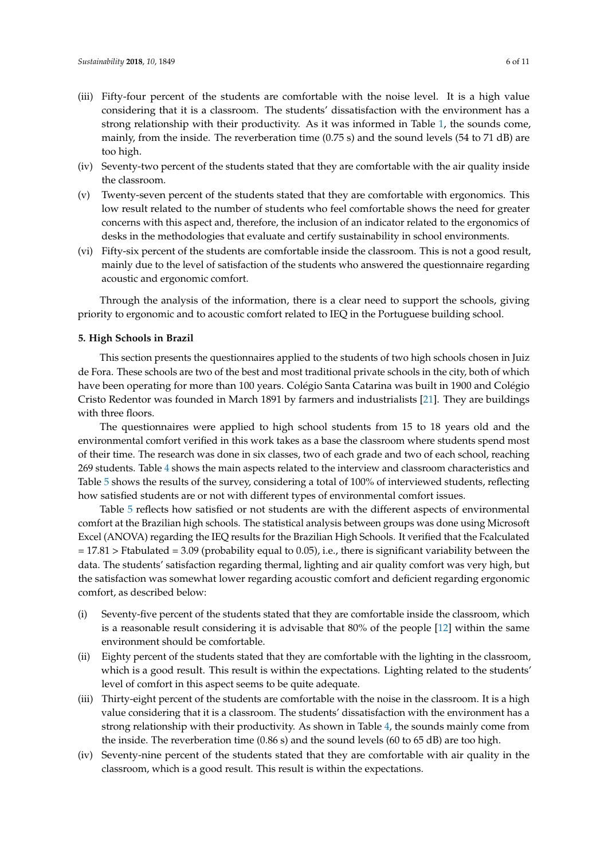- (iii) Fifty-four percent of the students are comfortable with the noise level. It is a high value considering that it is a classroom. The students' dissatisfaction with the environment has a strong relationship with their productivity. As it was informed in Table [1,](#page-3-0) the sounds come, mainly, from the inside. The reverberation time (0.75 s) and the sound levels (54 to 71 dB) are too high.
- (iv) Seventy-two percent of the students stated that they are comfortable with the air quality inside the classroom.
- (v) Twenty-seven percent of the students stated that they are comfortable with ergonomics. This low result related to the number of students who feel comfortable shows the need for greater concerns with this aspect and, therefore, the inclusion of an indicator related to the ergonomics of desks in the methodologies that evaluate and certify sustainability in school environments.
- (vi) Fifty-six percent of the students are comfortable inside the classroom. This is not a good result, mainly due to the level of satisfaction of the students who answered the questionnaire regarding acoustic and ergonomic comfort.

Through the analysis of the information, there is a clear need to support the schools, giving priority to ergonomic and to acoustic comfort related to IEQ in the Portuguese building school.

#### **5. High Schools in Brazil**

This section presents the questionnaires applied to the students of two high schools chosen in Juiz de Fora. These schools are two of the best and most traditional private schools in the city, both of which have been operating for more than 100 years. Colégio Santa Catarina was built in 1900 and Colégio Cristo Redentor was founded in March 1891 by farmers and industrialists [\[21\]](#page-10-20). They are buildings with three floors.

The questionnaires were applied to high school students from 15 to 18 years old and the environmental comfort verified in this work takes as a base the classroom where students spend most of their time. The research was done in six classes, two of each grade and two of each school, reaching 269 students. Table [4](#page-6-0) shows the main aspects related to the interview and classroom characteristics and Table [5](#page-6-1) shows the results of the survey, considering a total of 100% of interviewed students, reflecting how satisfied students are or not with different types of environmental comfort issues.

Table [5](#page-6-1) reflects how satisfied or not students are with the different aspects of environmental comfort at the Brazilian high schools. The statistical analysis between groups was done using Microsoft Excel (ANOVA) regarding the IEQ results for the Brazilian High Schools. It verified that the Fcalculated  $= 17.81$  > Ftabulated = 3.09 (probability equal to 0.05), i.e., there is significant variability between the data. The students' satisfaction regarding thermal, lighting and air quality comfort was very high, but the satisfaction was somewhat lower regarding acoustic comfort and deficient regarding ergonomic comfort, as described below:

- (i) Seventy-five percent of the students stated that they are comfortable inside the classroom, which is a reasonable result considering it is advisable that 80% of the people [\[12\]](#page-10-11) within the same environment should be comfortable.
- (ii) Eighty percent of the students stated that they are comfortable with the lighting in the classroom, which is a good result. This result is within the expectations. Lighting related to the students' level of comfort in this aspect seems to be quite adequate.
- (iii) Thirty-eight percent of the students are comfortable with the noise in the classroom. It is a high value considering that it is a classroom. The students' dissatisfaction with the environment has a strong relationship with their productivity. As shown in Table [4,](#page-6-0) the sounds mainly come from the inside. The reverberation time (0.86 s) and the sound levels (60 to 65 dB) are too high.
- (iv) Seventy-nine percent of the students stated that they are comfortable with air quality in the classroom, which is a good result. This result is within the expectations.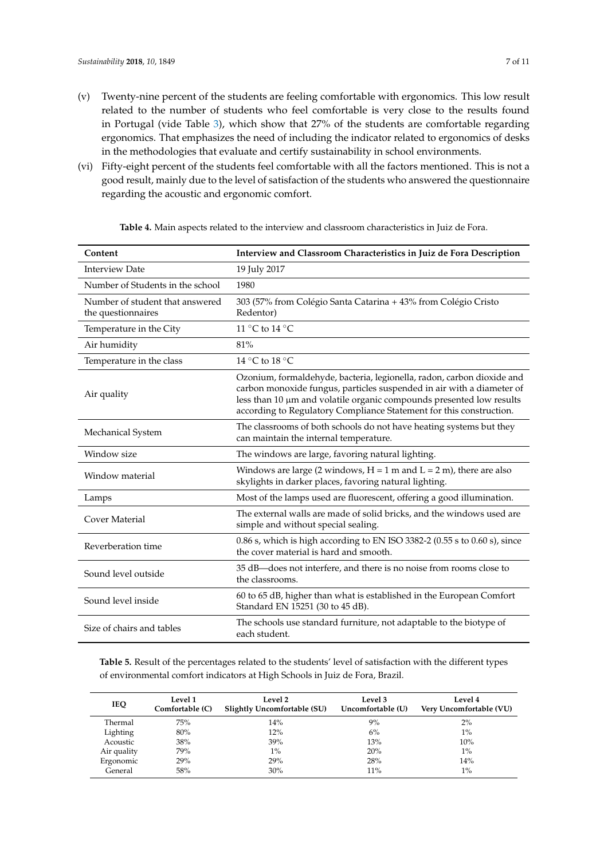- (v) Twenty-nine percent of the students are feeling comfortable with ergonomics. This low result related to the number of students who feel comfortable is very close to the results found in Portugal (vide Table [3\)](#page-4-0), which show that 27% of the students are comfortable regarding ergonomics. That emphasizes the need of including the indicator related to ergonomics of desks in the methodologies that evaluate and certify sustainability in school environments.
- (vi) Fifty-eight percent of the students feel comfortable with all the factors mentioned. This is not a good result, mainly due to the level of satisfaction of the students who answered the questionnaire regarding the acoustic and ergonomic comfort.

<span id="page-6-0"></span>

| Content                                               | Interview and Classroom Characteristics in Juiz de Fora Description                                                                                                                                                                                                                            |  |  |
|-------------------------------------------------------|------------------------------------------------------------------------------------------------------------------------------------------------------------------------------------------------------------------------------------------------------------------------------------------------|--|--|
| <b>Interview Date</b>                                 | 19 July 2017                                                                                                                                                                                                                                                                                   |  |  |
| Number of Students in the school                      | 1980                                                                                                                                                                                                                                                                                           |  |  |
| Number of student that answered<br>the questionnaires | 303 (57% from Colégio Santa Catarina + 43% from Colégio Cristo<br>Redentor)                                                                                                                                                                                                                    |  |  |
| Temperature in the City                               | 11 °C to 14 °C                                                                                                                                                                                                                                                                                 |  |  |
| Air humidity                                          | 81%                                                                                                                                                                                                                                                                                            |  |  |
| Temperature in the class                              | 14 °C to 18 °C                                                                                                                                                                                                                                                                                 |  |  |
| Air quality                                           | Ozonium, formaldehyde, bacteria, legionella, radon, carbon dioxide and<br>carbon monoxide fungus, particles suspended in air with a diameter of<br>less than 10 µm and volatile organic compounds presented low results<br>according to Regulatory Compliance Statement for this construction. |  |  |
| Mechanical System                                     | The classrooms of both schools do not have heating systems but they<br>can maintain the internal temperature.                                                                                                                                                                                  |  |  |
| Window size                                           | The windows are large, favoring natural lighting.                                                                                                                                                                                                                                              |  |  |
| Window material                                       | Windows are large (2 windows, $H = 1$ m and $L = 2$ m), there are also<br>skylights in darker places, favoring natural lighting.                                                                                                                                                               |  |  |
| Lamps                                                 | Most of the lamps used are fluorescent, offering a good illumination.                                                                                                                                                                                                                          |  |  |
| Cover Material                                        | The external walls are made of solid bricks, and the windows used are<br>simple and without special sealing.                                                                                                                                                                                   |  |  |
| Reverberation time                                    | 0.86 s, which is high according to EN ISO 3382-2 (0.55 s to 0.60 s), since<br>the cover material is hard and smooth.                                                                                                                                                                           |  |  |
| Sound level outside                                   | 35 dB-does not interfere, and there is no noise from rooms close to<br>the classrooms.                                                                                                                                                                                                         |  |  |
| Sound level inside                                    | 60 to 65 dB, higher than what is established in the European Comfort<br>Standard EN 15251 (30 to 45 dB).                                                                                                                                                                                       |  |  |
| Size of chairs and tables                             | The schools use standard furniture, not adaptable to the biotype of<br>each student.                                                                                                                                                                                                           |  |  |

**Table 4.** Main aspects related to the interview and classroom characteristics in Juiz de Fora.

<span id="page-6-1"></span>**Table 5.** Result of the percentages related to the students' level of satisfaction with the different types of environmental comfort indicators at High Schools in Juiz de Fora, Brazil.

| <b>IEQ</b>  | Level 1<br>Comfortable (C) | Level 2<br><b>Slightly Uncomfortable (SU)</b> | Level 3<br>Uncomfortable (U) | Level 4<br>Very Uncomfortable (VU) |  |
|-------------|----------------------------|-----------------------------------------------|------------------------------|------------------------------------|--|
| Thermal     | 75%                        | 14%                                           | 9%                           | 2%                                 |  |
| Lighting    | 80%                        | 12%                                           | 6%                           | $1\%$                              |  |
| Acoustic    | 38%                        | 39%                                           | 13%                          | 10%                                |  |
| Air quality | 79%                        | $1\%$                                         | 20%                          | $1\%$                              |  |
| Ergonomic   | 29%                        | 29%                                           | 28%                          | 14%                                |  |
| General     | 58%                        | 30%                                           | 11%                          | $1\%$                              |  |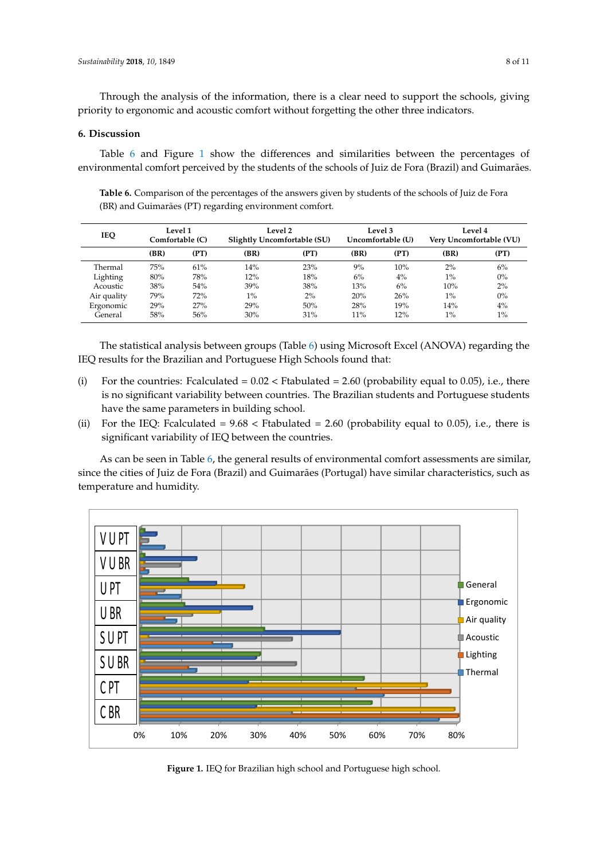Through the analysis of the information, there is a clear need to support the schools, giving priority to ergonomic and acoustic comfort without forgetting the other three indicators.

#### **6. Discussion**

Table [6](#page-7-0) and Figure [1](#page-7-1) show the differences and similarities between the percentages of environmental comfort perceived by the students of the schools of Juiz de Fora (Brazil) and Guimarães.

<span id="page-7-0"></span>**Table 6.** Comparison of the percentages of the answers given by students of the schools of Juiz de Fora (BR) and Guimarães (PT) regarding environment comfort.

| <b>IEQ</b>  | Level 1<br>Comfortable (C) |      | Level 2<br>Slightly Uncomfortable (SU) |      | Level 3<br>Uncomfortable (U) |       | Level 4<br>Very Uncomfortable (VU) |       |
|-------------|----------------------------|------|----------------------------------------|------|------------------------------|-------|------------------------------------|-------|
|             | (BR)                       | (PT) | (BR)                                   | (PT) | (BR)                         | (PT)  | (BR)                               | (PT)  |
| Thermal     | 75%                        | 61%  | 14%                                    | 23%  | 9%                           | 10%   | 2%                                 | 6%    |
| Lighting    | 80%                        | 78%  | 12%                                    | 18%  | 6%                           | $4\%$ | $1\%$                              | $0\%$ |
| Acoustic    | 38%                        | 54%  | 39%                                    | 38%  | 13%                          | 6%    | 10%                                | 2%    |
| Air quality | 79%                        | 72%  | $1\%$                                  | 2%   | 20%                          | 26%   | $1\%$                              | $0\%$ |
| Ergonomic   | 29%                        | 27%  | 29%                                    | 50%  | 28%                          | 19%   | 14%                                | $4\%$ |
| General     | 58%                        | 56%  | 30%                                    | 31%  | 11%                          | 12%   | $1\%$                              | $1\%$ |

The statistical analysis between groups (Table  $6$ ) using Microsoft Excel (ANOVA) regarding the IEQ results for the Brazilian and Portuguese High Schools found that:

- (i) For the countries: Fcalculated =  $0.02 <$  Ftabulated =  $2.60$  (probability equal to 0.05), i.e., there is no significant variability between countries. The Brazilian students and Portuguese students have the same parameters in building school. hard, accentuation, accentuation, and the walls dividing one room from the other do not have the other do not have the other do not have the other do not have the other do not have the other do not have the other do not ha
- (ii) For the IEQ: Fcalculated =  $9.68 <$  Ftabulated =  $2.60$  (probability equal to 0.05), i.e., there is significant variability of IEQ between the countries.

As can be seen in Table [6,](#page-7-0) the general results of environmental comfort assessments are similar, Figure the cities of Juiz de Fora (Brazil) and Guimarães (Portugal) have similar characteristics, such as temperature and humidity. as the enter of the performance in processes for the performance of environmental issues for the performance of human contribution of the performance of human contribution of the performance of human contribution of the pe

<span id="page-7-1"></span>

**Figure 1.** IEQ for Brazilian high school and Portuguese high school. **Figure 1.** IEQ for Brazilian high school and Portuguese high school.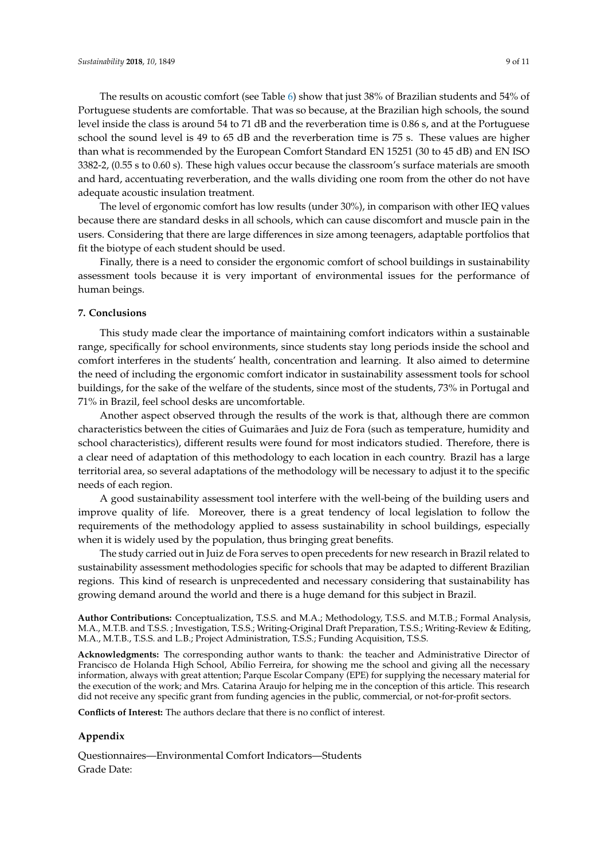The results on acoustic comfort (see Table [6\)](#page-7-0) show that just 38% of Brazilian students and 54% of Portuguese students are comfortable. That was so because, at the Brazilian high schools, the sound level inside the class is around 54 to 71 dB and the reverberation time is 0.86 s, and at the Portuguese school the sound level is 49 to 65 dB and the reverberation time is 75 s. These values are higher than what is recommended by the European Comfort Standard EN 15251 (30 to 45 dB) and EN ISO 3382-2, (0.55 s to 0.60 s). These high values occur because the classroom's surface materials are smooth and hard, accentuating reverberation, and the walls dividing one room from the other do not have adequate acoustic insulation treatment.

The level of ergonomic comfort has low results (under 30%), in comparison with other IEQ values because there are standard desks in all schools, which can cause discomfort and muscle pain in the users. Considering that there are large differences in size among teenagers, adaptable portfolios that fit the biotype of each student should be used.

Finally, there is a need to consider the ergonomic comfort of school buildings in sustainability assessment tools because it is very important of environmental issues for the performance of human beings.

#### **7. Conclusions**

This study made clear the importance of maintaining comfort indicators within a sustainable range, specifically for school environments, since students stay long periods inside the school and comfort interferes in the students' health, concentration and learning. It also aimed to determine the need of including the ergonomic comfort indicator in sustainability assessment tools for school buildings, for the sake of the welfare of the students, since most of the students, 73% in Portugal and 71% in Brazil, feel school desks are uncomfortable.

Another aspect observed through the results of the work is that, although there are common characteristics between the cities of Guimarães and Juiz de Fora (such as temperature, humidity and school characteristics), different results were found for most indicators studied. Therefore, there is a clear need of adaptation of this methodology to each location in each country. Brazil has a large territorial area, so several adaptations of the methodology will be necessary to adjust it to the specific needs of each region.

A good sustainability assessment tool interfere with the well-being of the building users and improve quality of life. Moreover, there is a great tendency of local legislation to follow the requirements of the methodology applied to assess sustainability in school buildings, especially when it is widely used by the population, thus bringing great benefits.

The study carried out in Juiz de Fora serves to open precedents for new research in Brazil related to sustainability assessment methodologies specific for schools that may be adapted to different Brazilian regions. This kind of research is unprecedented and necessary considering that sustainability has growing demand around the world and there is a huge demand for this subject in Brazil.

**Author Contributions:** Conceptualization, T.S.S. and M.A.; Methodology, T.S.S. and M.T.B.; Formal Analysis, M.A., M.T.B. and T.S.S. ; Investigation, T.S.S.; Writing-Original Draft Preparation, T.S.S.; Writing-Review & Editing, M.A., M.T.B., T.S.S. and L.B.; Project Administration, T.S.S.; Funding Acquisition, T.S.S.

**Acknowledgments:** The corresponding author wants to thank: the teacher and Administrative Director of Francisco de Holanda High School, Abílio Ferreira, for showing me the school and giving all the necessary information, always with great attention; Parque Escolar Company (EPE) for supplying the necessary material for the execution of the work; and Mrs. Catarina Araujo for helping me in the conception of this article. This research did not receive any specific grant from funding agencies in the public, commercial, or not-for-profit sectors.

**Conflicts of Interest:** The authors declare that there is no conflict of interest.

#### <span id="page-8-0"></span>**Appendix**

Questionnaires—Environmental Comfort Indicators—Students Grade Date: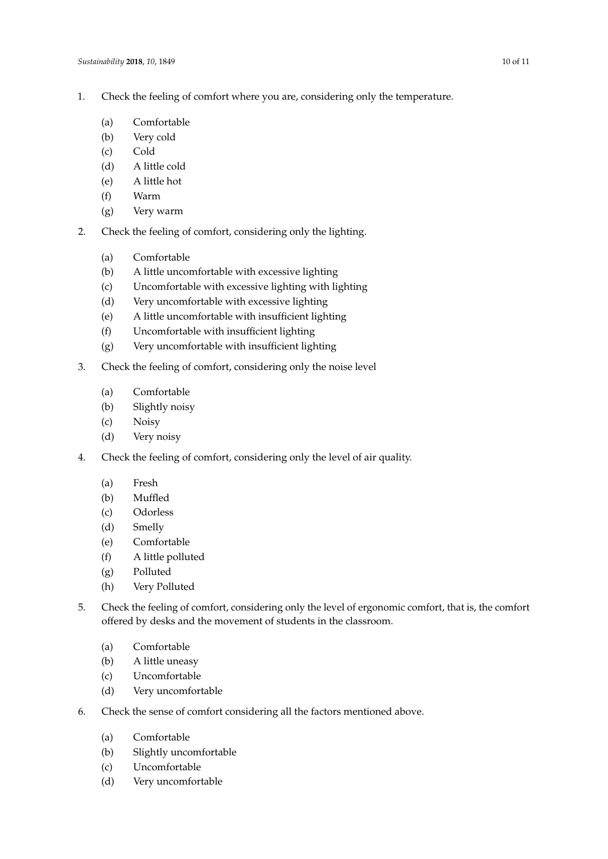- 1. Check the feeling of comfort where you are, considering only the temperature.
	- (a) Comfortable
	- (b) Very cold
	- (c) Cold
	- (d) A little cold
	- (e) A little hot
	- (f) Warm
	- (g) Very warm
- 2. Check the feeling of comfort, considering only the lighting.
	- (a) Comfortable
	- (b) A little uncomfortable with excessive lighting
	- (c) Uncomfortable with excessive lighting with lighting
	- (d) Very uncomfortable with excessive lighting
	- (e) A little uncomfortable with insufficient lighting
	- (f) Uncomfortable with insufficient lighting
	- (g) Very uncomfortable with insufficient lighting
- 3. Check the feeling of comfort, considering only the noise level
	- (a) Comfortable
	- (b) Slightly noisy
	- (c) Noisy
	- (d) Very noisy
- 4. Check the feeling of comfort, considering only the level of air quality.
	- (a) Fresh
	- (b) Muffled
	- (c) Odorless
	- (d) Smelly
	- (e) Comfortable
	- (f) A little polluted
	- (g) Polluted
	- (h) Very Polluted
- 5. Check the feeling of comfort, considering only the level of ergonomic comfort, that is, the comfort offered by desks and the movement of students in the classroom.
	- (a) Comfortable
	- (b) A little uneasy
	- (c) Uncomfortable
	- (d) Very uncomfortable
- 6. Check the sense of comfort considering all the factors mentioned above.
	- (a) Comfortable
	- (b) Slightly uncomfortable
	- (c) Uncomfortable
	- (d) Very uncomfortable